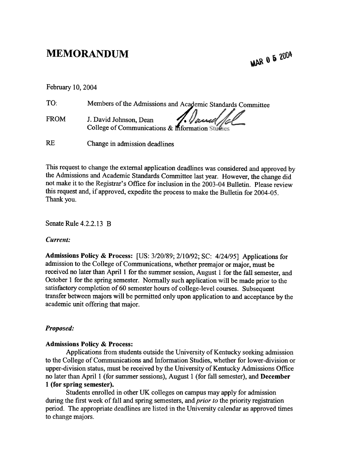# MEMORANDUM

MAR 0 5 2004

| February 10, 2004 |                                                            |
|-------------------|------------------------------------------------------------|
| TO:               | Members of the Admissions and Academic Standards Committee |

FROM J. David Johnson, Dean . J. Daniel 120 College of Communications & Information Studies

RE Change in admission deadlines

This request to change the external application deadlines was considered and approved by the Admissions and Academic Standards Committee last year. However, the change did not make it to the Registrar's Office for inclusion in the 2003-04 Bulletin. Please review this request and, if approved, expedite the process to make the Bulletin for 2004-05. Thank you.

Senate Rule 4.2.2.13 B

## Current:

Admissions Policy & Process: [US: 3/20/89; 2/10/92; SC: 4/24/95] Applications for admission to the College of Communications, whether premajor or major, must be received no later than April 1 for the summer session, August 1 for the fall semester, and October I for the spring semester. Normally such application will be made prior to the satisfactory completion of 60 semester hours of college-level courses. Subsequent transfer between majors will be permitted only upon application to and acceptance by the academic unit offering that major.

## Proposed:

## Admissions Policy & Process:

Applications from students outside the University of Kentucky seeking admission to the College of Communications and Information Studies, whether for lower-division or upper-division status, must be received by the University of Kentucky Admissions Office no later than April 1 (for summer sessions), August 1 (for fall semester), and December 1 (for spring semester).

Students emolled in other UK colleges on campus may apply for admission during the first week of fall and spring semesters, and *prior to* the priority registration period. The appropriate deadlines are listed in the University calendar as approved times to change majors.